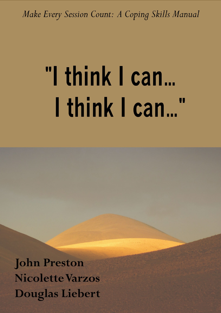Make Every Session Count: A Coping Skills Manual

# "I think I can... I think I can..."

**John Preston Nicolette Varzos Douglas Liebert**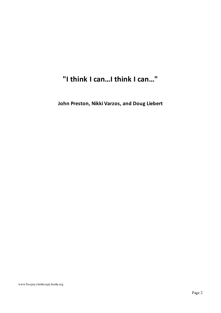## **"I think I can…I think I can…"**

**John Preston, Nikki Varzos, and Doug Liebert**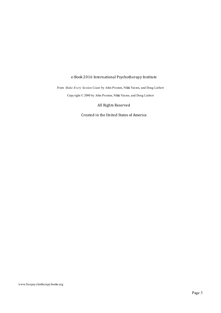#### e-Book 2016 International Psychotherapy Institute

From *Make Every Session Count* by John Preston, Nikki Varzos, and Doug Liebert

Copyright © 2000 by John Preston, Nikki Varzos, and Doug Liebert

All Rights Reserved

Created in the United States of America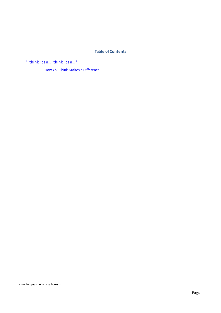#### **Table of Contents**

"I think I can…I think I [can…"](#page-4-0)

How You Think Makes a [Difference](#page-4-1)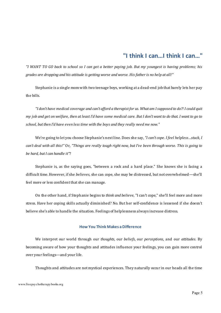### **"I think I can…I think I can…"**

<span id="page-4-0"></span>"I WANT TO GO back to school so I can get a better paying job. But my youngest is having problems; his *grades are dropping and his attitude is getting worse and worse. His father is no help at all!"*

Stephanie is a single mom with two teenage boys, working at a dead-end job that barely lets her pay the bills.

"I don't have medical coverage and can't afford a therapist for us. What am I supposed to do?! I could quit my job and get on welfare, then at least I'd have some medical care. But I don't want to do that. I want to go to *school, butthen I'd have even less time with the boys and they really need me now."*

We're going to let you choose Stephanie's next line. Does she say, *"I can't cope. I feel helpless…stuck, I* can't deal with all this!" Or, "Things are really tough right now, but I've been through worse. This is going to *be hard, butI can handle it"*?

Stephanie is, as the saying goes, "between a rock and a hard place." She knows she is facing a difficult time. However, if she *believes*, she can cope, she may be distressed, but not overwhelmed—she'll feel more or less confident that she can manage.

On the other hand, if Stephanie begins to *think and believe*, "I can't cope," she'll feel more and more stress. Have her coping skills actually diminished? No. But her self-confidence is lessened if she doesn't believe she's able to handle the situation. Feelings of helplessness always increase distress.

#### **How You Think Makes aDifference**

<span id="page-4-1"></span>We interpret our world through our *thoughts*, our *beliefs*, our *perceptions*, and our *attitudes*. By becoming aware of how your thoughts and attitudes influence your feelings, you can gain more control over your feelings—and your life.

Thoughts and attitudes are not mystical experiences. They naturally occur in our heads all the time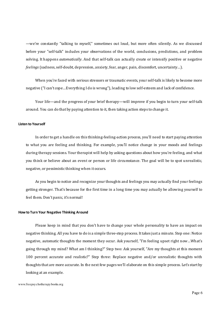—we're constantly "talking to myself," sometimes out loud, but more often silently. As we discussed before your "self-talk" includes your observations of the world, conclusions, predictions, and problem solving. It happens *automatically*. And that self-talk can actually create or intensify positive or negative *feelings* (sadness, self-doubt, depression, anxiety, fear, anger,pain, discomfort, uncertainty…).

When you're faced with serious stressors or traumatic events, your self-talk is likely to become more negative ("I can't cope…Everything I do is wrong"), leading to low self-esteem and lack of confidence.

Your life—and the progress of your brief therapy—will improve if you begin to turn your self-talk around. You can do that bypaying attention to it, then taking action steps to change it.

#### **Listen to Yourself**

In order to get a handle on this thinking-feeling-action process, you'll need to startpaying attention to what you are feeling and thinking. For example, you'll notice change in your moods and feelings during therapy sessions. Your therapist will help by asking questions about how you're feeling, and what you think or believe about an event or person or life circumstance. The goal will be to spot unrealistic, negative, or pessimistic thinking when it occurs.

As you begin to notice and recognize your thoughts and feelings you may actually find your feelings getting stronger. That's because for the first time in a long time you may actually be allowing yourself to feel them. Don't panic, it's normal!

#### **How to Turn Your Negative Thinking Around**

Please keep in mind that you don't have to change your whole personality to have an impact on negative thinking. All you have to do is a simple three-step process. Ittakes just a minute. Step one: Notice negative, automatic thoughts the moment they occur. Ask yourself, "I'm feeling upset right now…What's going through my mind? What am I thinking?" Step two: Ask yourself, "Are my thoughts at this moment 100 percent accurate and realistic?" Step three: Replace negative and/or unrealistic thoughts with thoughts that are more accurate. In the next few pages we'll elaborate on this simple process. Let's start by looking at an example.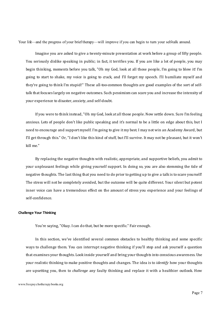Your life—and the progress of your brief therapy—will improve if you can begin to turn your self-talk around.

Imagine you are asked to give a twenty-minute presentation at work before a group of fifty people. You seriously dislike speaking in public; in fact, it terrifies you. If you are like a lot of people, you may begin thinking, moments before you talk, "Oh my God, look at all those people, I'm going to blow it! I'm going to start to shake, my voice is going to crack, and I'll forget my speech. I'll humiliate myself and they're going to think I'm stupid!" These all-too-common thoughts are good examples of the sort of selftalk thatfocuses largely on negative outcomes. Such pessimism can scare you and increase the intensity of your experience to disaster, anxiety, and self-doubt.

If you were to think instead, "Oh my God, look at all those people. Now settle down. Sure I'm feeling anxious. Lots of people don't like public speaking and it's normal to be a little on edge about this, but I need to encourage and support myself. I'm going to give it my best. I may not win an Academy Award, but I'll get through this." Or, "I don't like this kind of stuff, but I'll survive. It may not be pleasant, but it won't kill me."

By replacing the negative thoughts with realistic, appropriate, and supportive beliefs, you admit to your unpleasant feelings while giving yourself support. In doing so, you are also stemming the tide of negative thoughts. The last thing that you need to doprior to getting up to give a talk is to scare yourself! The stress will not be completely avoided, but the outcome will be quite different. Your silent but potent inner voice can have a tremendous effect on the amount of stress you experience and your feelings of self-confidence.

#### **Challenge Your Thinking**

You're saying,"Okay. I can do that, but be more specific." Fair enough.

In this section, we've identified several common obstacles to healthy thinking and some specific ways to challenge them. You can interrupt negative thinking if you'll stop and ask yourself a question that examines your thoughts. Look inside yourself and bring your thoughts into conscious awareness. Use your realistic thinking to make positive thoughts and changes. The idea is to *identify* how your thoughts are upsetting you, then to *challenge* any faulty thinking and replace it with a healthier outlook. How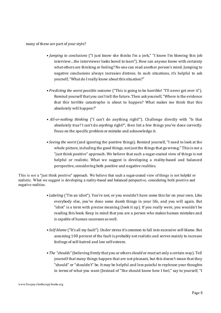many of these are part of your style?

- *Jumping to conclusions* ("I just know she thinks I'm a jerk," "I know I'm blowing this job interview…the interviewer looks bored to tears"). How can anyone know with certainty what others are thinking or feeling? No one can read another person's mind. Jumping to negative conclusions always increases distress. In such situations, it's helpful to ask yourself, "What do I really know about this situation?"
- *Predicting the worst possible outcome* ("This is going to be horrible! "I'll never get over it"). Remind yourself that you can't tell the future. Then ask yourself, "Where is the evidence that this terrible catastrophe is about to happen? What makes me think that this absolutely will happen?"
- *All-or-nothing thinking* ("I can't do anything right!"). Challenge directly with "Is that absolutely true? I can't do *anything* right?", then list a few things you've done correctly. Focus on the specific problem or mistake and acknowledge it.
- *Seeing the worst* (and ignoring the positive things). Remind yourself, "I need to look at the whole picture,including the good things, notjust the things that go wrong." This is *not* a "just think positive" approach. We believe that such a sugar-coated view of things is not helpful or realistic. What we suggest is developing a reality-based and balanced perspective, considering both positive and negative realities.

This is *not* a "just think positive" approach. We believe that such a sugar-coated view of things is not helpful or realistic. What we suggest is developing a reality-based and balanced perspective, considering both positive and negative realities.

- *Labeling* ("I'm an idiot"). You're not, or you wouldn't have come this far on your own. Like everybody else, you've done some dumb things in your life, and you will again. But "idiot" is a term with precise meaning (look it up). If you really were, you wouldn't be reading this book. Keep in mind that you are a person who makes human mistakes and is capable of human successes as well.
- *Self-blame* ("It's all my fault"). Under stress it's common to fall into excessive self-blame. But assuming 100 percent of the fault is probably not realistic and serves mainly to increase feelings of self-hatred and low self-esteem.
- *The "shoulds"* (believing firmly that you or others *should* or *must* act only a certain way). Tell yourself that many things happen that are not pleasant, but this doesn't mean that they "should" or "shouldn't" be. It may be helpful and lesspainful to rephrase your thoughts in terms of what you want (Instead of "She should know how I feel," say to yourself, "I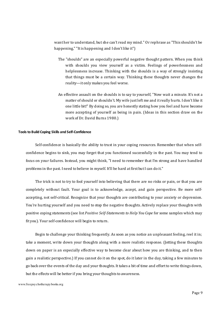want her to understand, but she can't read my mind." Or rephrase as "This shouldn't be happening," "Itis happening and I don'tlike it")

- The "shoulds" are an especially powerful negative thought pattern. When you think with shoulds you view yourself as a victim. Feelings of powerlessness and helplessness increase. Thinking with the shoulds is a way of strongly insisting that things must be a certain way. Thinking these thoughts never changes the reality—it only makes you feel worse.
- An effective assault on the shoulds is to say to yourself, "Now wait a minute. It's not a matter of should or shouldn't. My wife justleft me and it really hurts. I don'tlike it one little bit!" By doing so, you are honestly stating how you feel and have become more accepting of yourself as being in pain. (Ideas in this section draw on the work of Dr. David Burns 1980.)

#### **Tools to Build Coping Skills and Self-Confidence**

Self-confidence is basically the ability to trust in your coping resources. Remember that when selfconfidence begins to sink, you may forget that you functioned successfully in the past. You may tend to focus on your failures. Instead, you might think, "I need to remember that I'm strong and have handled problems in the past. I need to believe in myself. It'll be hard at first but I can do it."

The trick is not to try to fool yourself into believing that there are no risks or pain, or that you are completely without fault. Your goal is to acknowledge, accept, and gain perspective. Be more selfaccepting, not self-critical. Recognize that your thoughts are contributing to your anxiety or depression. You're hurting yourself and you need to stop the negative thoughts. Actively replace your thoughts with positive coping statements (see list *Positive Self-Statements to Help You Cope* for some samples which may fit you). Your self-confidence will begin to return.

Begin to challenge your thinking frequently. As soon as you notice an unpleasant feeling, reel it in; take a moment, write down your thoughts along with a more realistic response. (Jotting these thoughts down on paper is an especially effective way to become clear about how you are thinking, and to then gain a realisticperspective.) If you cannot do it on the spot, do it later in the day, taking a few minutes to go back over the events of the day and your thoughts. It takes a bit of time and effort to write things down, but the effects will be better if you bring your thoughts to awareness.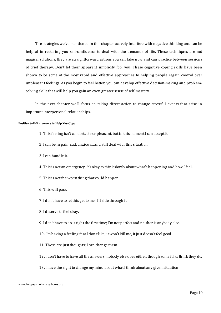The strategies we've mentioned in this chapter actively interfere with negative thinking and can be helpful in restoring you self-confidence to deal with the demands of life. These techniques are not magical solutions, they are straightforward actions you can take now and can practice between sessions of brief therapy. Don't let their apparent simplicity fool you. These cognitive coping skills have been shown to be some of the most rapid and effective approaches to helping people regain control over unpleasant feelings. As you begin to feel better, you can develop effective decision-making and problemsolving skills that will help you gain an even greater sense of self-mastery.

In the next chapter we'll focus on taking direct action to change stressful events that arise in importantinterpersonal relationships.

#### **Positive Self-Statements to Help You Cope**

- 1. This feeling isn't comfortable or pleasant, but in this moment I can accept it.
- 2. I can be in pain, sad, anxious…and still deal with this situation.
- 3. I can handle it.
- 4. This is not an emergency. It's okay to think slowly about what's happening and how I feel.
- 5. This is not the worst thing that could happen.
- 6. This will pass.
- 7. I don't have to letthis getto me; I'll ride through it.
- 8. I deserve to feel okay.
- 9. I don't have to do it right the first time; I'm not perfect and neither is anybody else.
- 10. I'm having a feeling that I don't like; it won't kill me, it just doesn't feel good.
- 11. These are just thoughts: I can change them.
- 12. I don't have to have all the answers; nobody else does either, though some folks think they do.
- 13. I have the right to change my mind about what I think about any given situation.